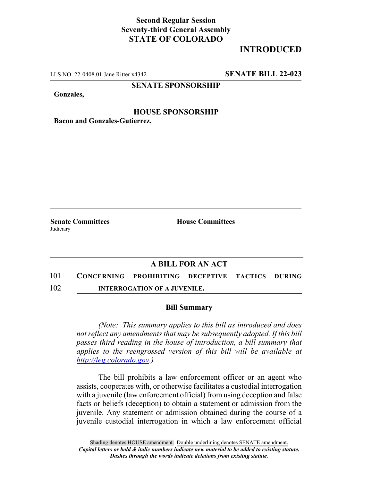# **Second Regular Session Seventy-third General Assembly STATE OF COLORADO**

# **INTRODUCED**

LLS NO. 22-0408.01 Jane Ritter x4342 **SENATE BILL 22-023**

## **SENATE SPONSORSHIP**

**Gonzales,**

### **HOUSE SPONSORSHIP**

**Bacon and Gonzales-Gutierrez,**

**Senate Committees House Committees Judiciary** 

## **A BILL FOR AN ACT**

- 101 **CONCERNING PROHIBITING DECEPTIVE TACTICS DURING**
- 102 **INTERROGATION OF A JUVENILE.**

#### **Bill Summary**

*(Note: This summary applies to this bill as introduced and does not reflect any amendments that may be subsequently adopted. If this bill passes third reading in the house of introduction, a bill summary that applies to the reengrossed version of this bill will be available at http://leg.colorado.gov.)*

The bill prohibits a law enforcement officer or an agent who assists, cooperates with, or otherwise facilitates a custodial interrogation with a juvenile (law enforcement official) from using deception and false facts or beliefs (deception) to obtain a statement or admission from the juvenile. Any statement or admission obtained during the course of a juvenile custodial interrogation in which a law enforcement official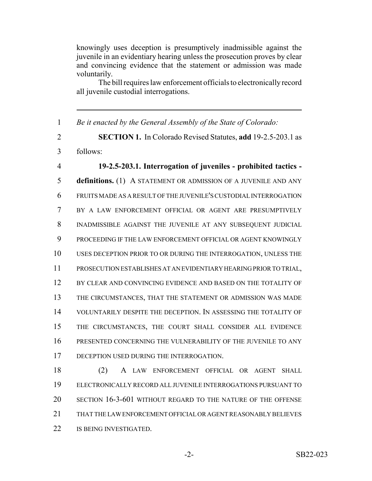knowingly uses deception is presumptively inadmissible against the juvenile in an evidentiary hearing unless the prosecution proves by clear and convincing evidence that the statement or admission was made voluntarily.

The bill requires law enforcement officials to electronically record all juvenile custodial interrogations.

 *Be it enacted by the General Assembly of the State of Colorado:* **SECTION 1.** In Colorado Revised Statutes, **add** 19-2.5-203.1 as follows: **19-2.5-203.1. Interrogation of juveniles - prohibited tactics - definitions.** (1) A STATEMENT OR ADMISSION OF A JUVENILE AND ANY FRUITS MADE AS A RESULT OF THE JUVENILE'S CUSTODIAL INTERROGATION BY A LAW ENFORCEMENT OFFICIAL OR AGENT ARE PRESUMPTIVELY 8 INADMISSIBLE AGAINST THE JUVENILE AT ANY SUBSEQUENT JUDICIAL PROCEEDING IF THE LAW ENFORCEMENT OFFICIAL OR AGENT KNOWINGLY USES DECEPTION PRIOR TO OR DURING THE INTERROGATION, UNLESS THE PROSECUTION ESTABLISHES AT AN EVIDENTIARY HEARING PRIOR TO TRIAL, BY CLEAR AND CONVINCING EVIDENCE AND BASED ON THE TOTALITY OF THE CIRCUMSTANCES, THAT THE STATEMENT OR ADMISSION WAS MADE VOLUNTARILY DESPITE THE DECEPTION. IN ASSESSING THE TOTALITY OF THE CIRCUMSTANCES, THE COURT SHALL CONSIDER ALL EVIDENCE PRESENTED CONCERNING THE VULNERABILITY OF THE JUVENILE TO ANY 17 DECEPTION USED DURING THE INTERROGATION. (2) A LAW ENFORCEMENT OFFICIAL OR AGENT SHALL ELECTRONICALLY RECORD ALL JUVENILE INTERROGATIONS PURSUANT TO

 THAT THE LAW ENFORCEMENT OFFICIAL OR AGENT REASONABLY BELIEVES 22 IS BEING INVESTIGATED.

SECTION 16-3-601 WITHOUT REGARD TO THE NATURE OF THE OFFENSE